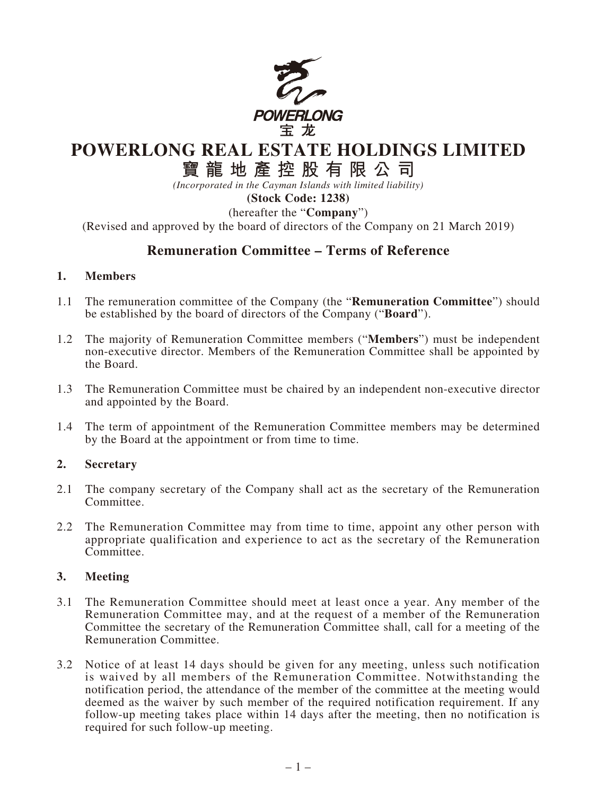

# **POWERLONG REAL ESTATE HOLDINGS LIMITED**

# **寶龍地產控股有限公司**

*(Incorporated in the Cayman Islands with limited liability)*

**(Stock Code: 1238)**

(hereafter the "**Company**")

(Revised and approved by the board of directors of the Company on 21 March 2019)

# **Remuneration Committee – Terms of Reference**

#### **1. Members**

- 1.1 The remuneration committee of the Company (the "**Remuneration Committee**") should be established by the board of directors of the Company ("**Board**").
- 1.2 The majority of Remuneration Committee members ("**Members**") must be independent non-executive director. Members of the Remuneration Committee shall be appointed by the Board.
- 1.3 The Remuneration Committee must be chaired by an independent non-executive director and appointed by the Board.
- 1.4 The term of appointment of the Remuneration Committee members may be determined by the Board at the appointment or from time to time.

#### **2. Secretary**

- 2.1 The company secretary of the Company shall act as the secretary of the Remuneration Committee.
- 2.2 The Remuneration Committee may from time to time, appoint any other person with appropriate qualification and experience to act as the secretary of the Remuneration Committee.

### **3. Meeting**

- 3.1 The Remuneration Committee should meet at least once a year. Any member of the Remuneration Committee may, and at the request of a member of the Remuneration Committee the secretary of the Remuneration Committee shall, call for a meeting of the Remuneration Committee.
- 3.2 Notice of at least 14 days should be given for any meeting, unless such notification is waived by all members of the Remuneration Committee. Notwithstanding the notification period, the attendance of the member of the committee at the meeting would deemed as the waiver by such member of the required notification requirement. If any follow-up meeting takes place within 14 days after the meeting, then no notification is required for such follow-up meeting.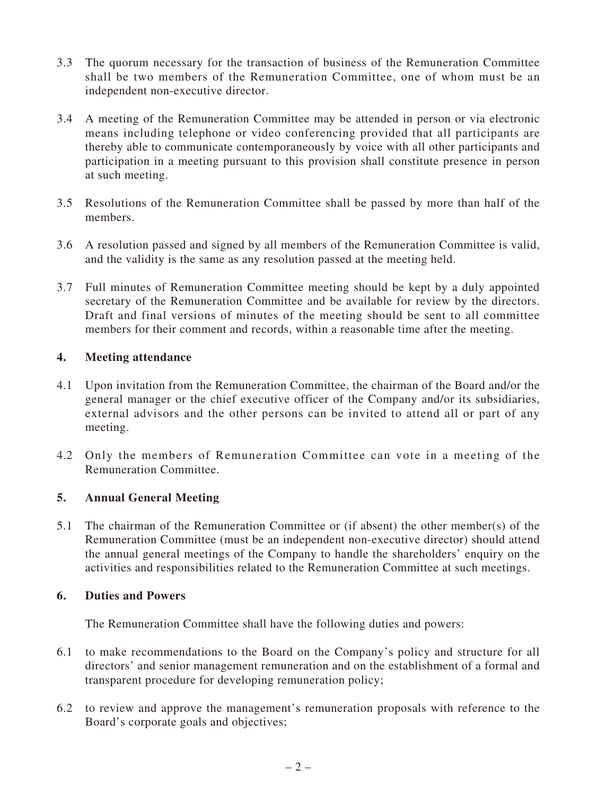- 3.3 The quorum necessary for the transaction of business of the Remuneration Committee shall be two members of the Remuneration Committee, one of whom must be an independent non-executive director.
- 3.4 A meeting of the Remuneration Committee may be attended in person or via electronic means including telephone or video conferencing provided that all participants are thereby able to communicate contemporaneously by voice with all other participants and participation in a meeting pursuant to this provision shall constitute presence in person at such meeting.
- 3.5 Resolutions of the Remuneration Committee shall be passed by more than half of the members.
- 3.6 A resolution passed and signed by all members of the Remuneration Committee is valid, and the validity is the same as any resolution passed at the meeting held.
- 3.7 Full minutes of Remuneration Committee meeting should be kept by a duly appointed secretary of the Remuneration Committee and be available for review by the directors. Draft and final versions of minutes of the meeting should be sent to all committee members for their comment and records, within a reasonable time after the meeting.

# **4. Meeting attendance**

- 4.1 Upon invitation from the Remuneration Committee, the chairman of the Board and/or the general manager or the chief executive officer of the Company and/or its subsidiaries, external advisors and the other persons can be invited to attend all or part of any meeting.
- 4.2 Only the members of Remuneration Committee can vote in a meeting of the Remuneration Committee.

# **5. Annual General Meeting**

5.1 The chairman of the Remuneration Committee or (if absent) the other member(s) of the Remuneration Committee (must be an independent non-executive director) should attend the annual general meetings of the Company to handle the shareholders' enquiry on the activities and responsibilities related to the Remuneration Committee at such meetings.

#### **6. Duties and Powers**

The Remuneration Committee shall have the following duties and powers:

- 6.1 to make recommendations to the Board on the Company's policy and structure for all directors' and senior management remuneration and on the establishment of a formal and transparent procedure for developing remuneration policy;
- 6.2 to review and approve the management's remuneration proposals with reference to the Board's corporate goals and objectives;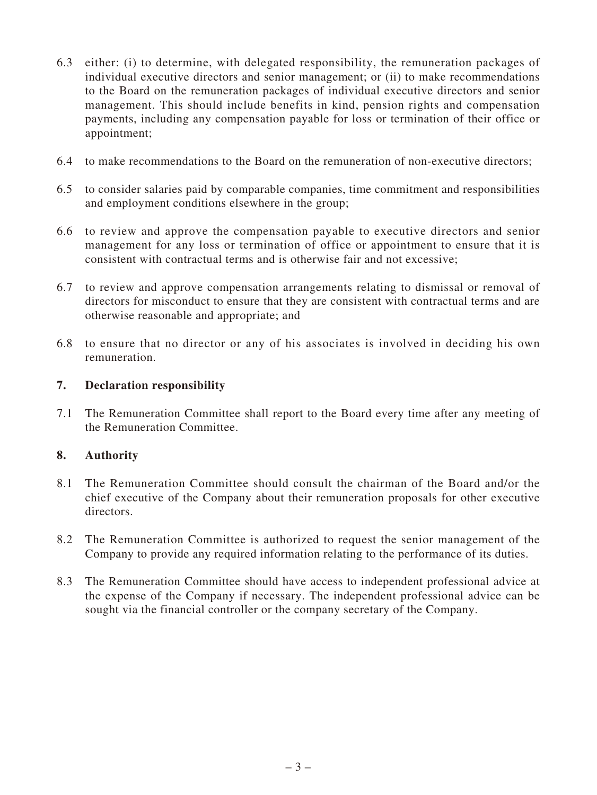- 6.3 either: (i) to determine, with delegated responsibility, the remuneration packages of individual executive directors and senior management; or (ii) to make recommendations to the Board on the remuneration packages of individual executive directors and senior management. This should include benefits in kind, pension rights and compensation payments, including any compensation payable for loss or termination of their office or appointment;
- 6.4 to make recommendations to the Board on the remuneration of non-executive directors;
- 6.5 to consider salaries paid by comparable companies, time commitment and responsibilities and employment conditions elsewhere in the group;
- 6.6 to review and approve the compensation payable to executive directors and senior management for any loss or termination of office or appointment to ensure that it is consistent with contractual terms and is otherwise fair and not excessive;
- 6.7 to review and approve compensation arrangements relating to dismissal or removal of directors for misconduct to ensure that they are consistent with contractual terms and are otherwise reasonable and appropriate; and
- 6.8 to ensure that no director or any of his associates is involved in deciding his own remuneration.

### **7. Declaration responsibility**

7.1 The Remuneration Committee shall report to the Board every time after any meeting of the Remuneration Committee.

# **8. Authority**

- 8.1 The Remuneration Committee should consult the chairman of the Board and/or the chief executive of the Company about their remuneration proposals for other executive directors.
- 8.2 The Remuneration Committee is authorized to request the senior management of the Company to provide any required information relating to the performance of its duties.
- 8.3 The Remuneration Committee should have access to independent professional advice at the expense of the Company if necessary. The independent professional advice can be sought via the financial controller or the company secretary of the Company.